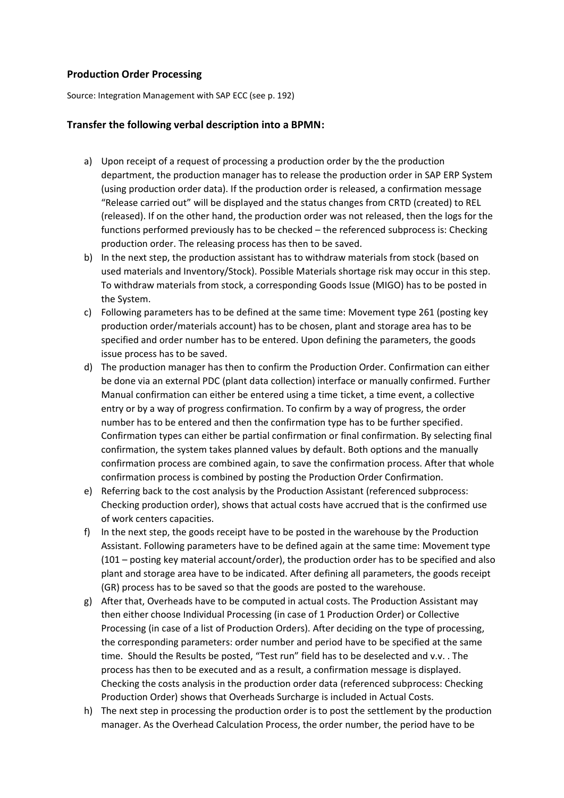## **Production Order Processing**

Source: Integration Management with SAP ECC (see p. 192)

## **Transfer the following verbal description into a BPMN:**

- a) Upon receipt of a request of processing a production order by the the production department, the production manager has to release the production order in SAP ERP System (using production order data). If the production order is released, a confirmation message "Release carried out" will be displayed and the status changes from CRTD (created) to REL (released). If on the other hand, the production order was not released, then the logs for the functions performed previously has to be checked – the referenced subprocess is: Checking production order. The releasing process has then to be saved.
- b) In the next step, the production assistant has to withdraw materials from stock (based on used materials and Inventory/Stock). Possible Materials shortage risk may occur in this step. To withdraw materials from stock, a corresponding Goods Issue (MIGO) has to be posted in the System.
- c) Following parameters has to be defined at the same time: Movement type 261 (posting key production order/materials account) has to be chosen, plant and storage area has to be specified and order number has to be entered. Upon defining the parameters, the goods issue process has to be saved.
- d) The production manager has then to confirm the Production Order. Confirmation can either be done via an external PDC (plant data collection) interface or manually confirmed. Further Manual confirmation can either be entered using a time ticket, a time event, a collective entry or by a way of progress confirmation. To confirm by a way of progress, the order number has to be entered and then the confirmation type has to be further specified. Confirmation types can either be partial confirmation or final confirmation. By selecting final confirmation, the system takes planned values by default. Both options and the manually confirmation process are combined again, to save the confirmation process. After that whole confirmation process is combined by posting the Production Order Confirmation.
- e) Referring back to the cost analysis by the Production Assistant (referenced subprocess: Checking production order), shows that actual costs have accrued that is the confirmed use of work centers capacities.
- f) In the next step, the goods receipt have to be posted in the warehouse by the Production Assistant. Following parameters have to be defined again at the same time: Movement type (101 – posting key material account/order), the production order has to be specified and also plant and storage area have to be indicated. After defining all parameters, the goods receipt (GR) process has to be saved so that the goods are posted to the warehouse.
- g) After that, Overheads have to be computed in actual costs. The Production Assistant may then either choose Individual Processing (in case of 1 Production Order) or Collective Processing (in case of a list of Production Orders). After deciding on the type of processing, the corresponding parameters: order number and period have to be specified at the same time. Should the Results be posted, "Test run" field has to be deselected and v.v. . The process has then to be executed and as a result, a confirmation message is displayed. Checking the costs analysis in the production order data (referenced subprocess: Checking Production Order) shows that Overheads Surcharge is included in Actual Costs.
- h) The next step in processing the production order is to post the settlement by the production manager. As the Overhead Calculation Process, the order number, the period have to be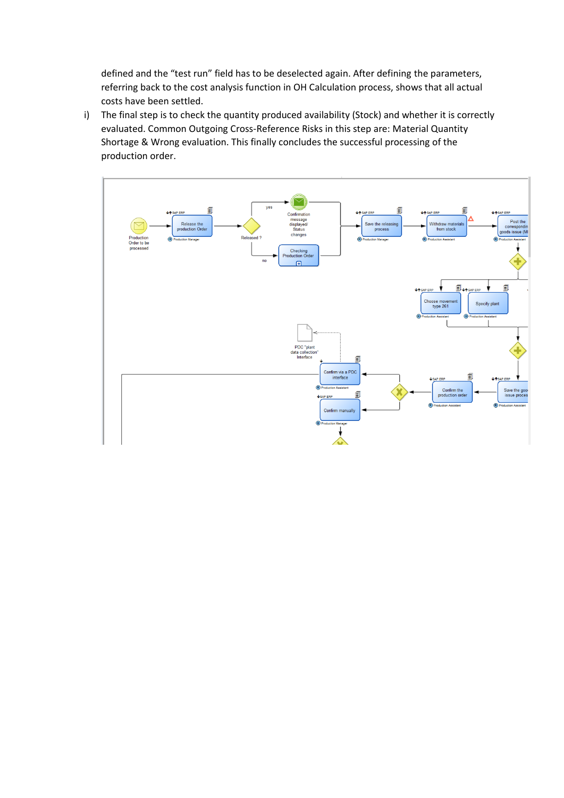defined and the "test run" field has to be deselected again. After defining the parameters, referring back to the cost analysis function in OH Calculation process, shows that all actual costs have been settled.

i) The final step is to check the quantity produced availability (Stock) and whether it is correctly evaluated. Common Outgoing Cross-Reference Risks in this step are: Material Quantity Shortage & Wrong evaluation. This finally concludes the successful processing of the production order.

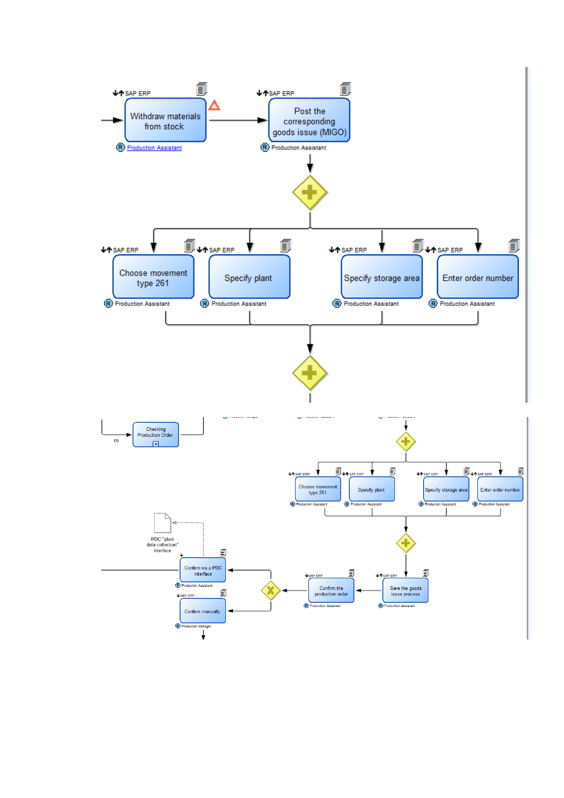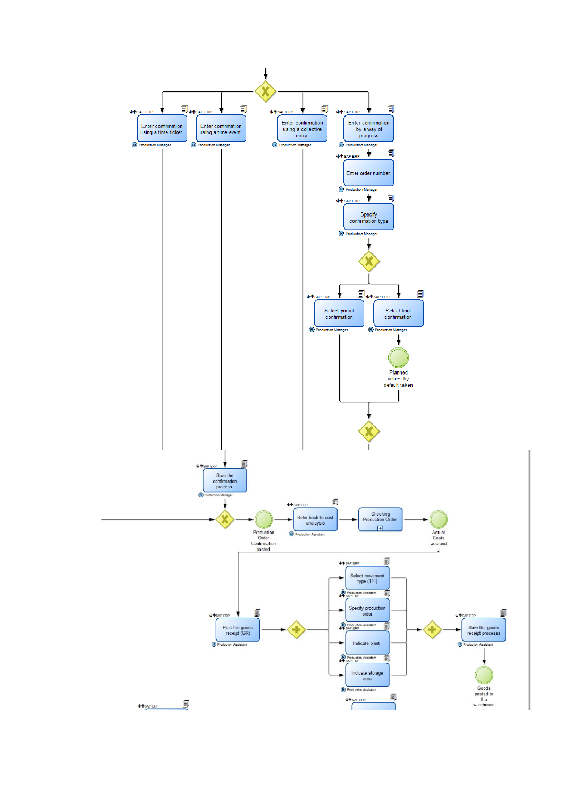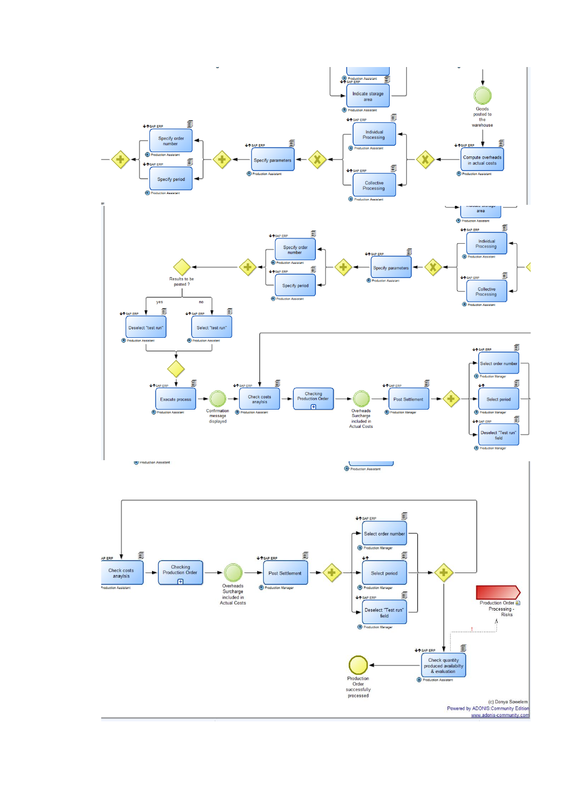